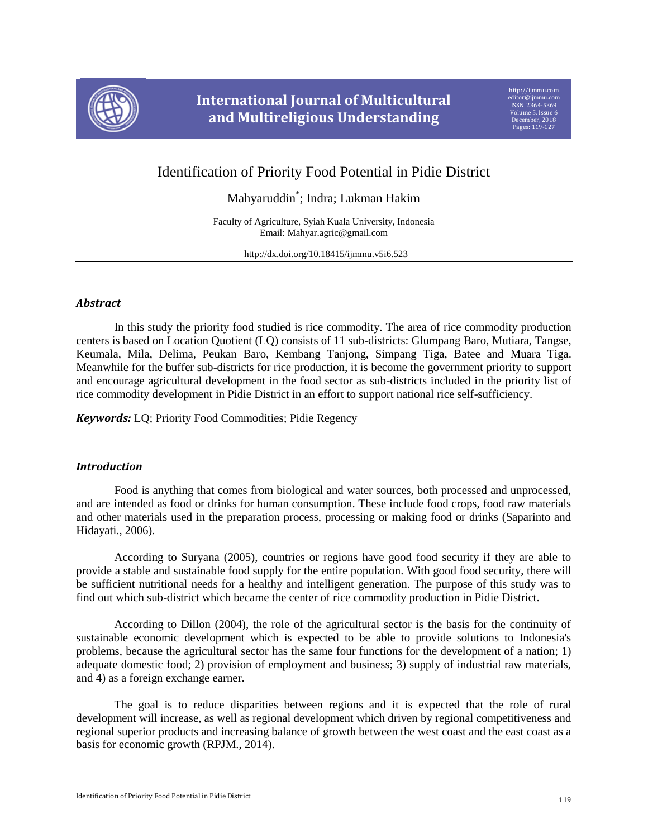

# **International Journal of Multicultural and Multireligious Understanding**

## Identification of Priority Food Potential in Pidie District

Mahyaruddin\* ; Indra; Lukman Hakim

Faculty of Agriculture, Syiah Kuala University, Indonesia Email: Mahyar.agric@gmail.com

http://dx.doi.org/10.18415/ijmmu.v5i6.523

## *Abstract*

In this study the priority food studied is rice commodity. The area of rice commodity production centers is based on Location Quotient (LQ) consists of 11 sub-districts: Glumpang Baro, Mutiara, Tangse, Keumala, Mila, Delima, Peukan Baro, Kembang Tanjong, Simpang Tiga, Batee and Muara Tiga. Meanwhile for the buffer sub-districts for rice production, it is become the government priority to support and encourage agricultural development in the food sector as sub-districts included in the priority list of rice commodity development in Pidie District in an effort to support national rice self-sufficiency.

*Keywords:* LQ; Priority Food Commodities; Pidie Regency

## *Introduction*

Food is anything that comes from biological and water sources, both processed and unprocessed, and are intended as food or drinks for human consumption. These include food crops, food raw materials and other materials used in the preparation process, processing or making food or drinks (Saparinto and Hidayati., 2006).

According to Suryana (2005), countries or regions have good food security if they are able to provide a stable and sustainable food supply for the entire population. With good food security, there will be sufficient nutritional needs for a healthy and intelligent generation. The purpose of this study was to find out which sub-district which became the center of rice commodity production in Pidie District.

According to Dillon (2004), the role of the agricultural sector is the basis for the continuity of sustainable economic development which is expected to be able to provide solutions to Indonesia's problems, because the agricultural sector has the same four functions for the development of a nation; 1) adequate domestic food; 2) provision of employment and business; 3) supply of industrial raw materials, and 4) as a foreign exchange earner.

The goal is to reduce disparities between regions and it is expected that the role of rural development will increase, as well as regional development which driven by regional competitiveness and regional superior products and increasing balance of growth between the west coast and the east coast as a basis for economic growth (RPJM., 2014).

Identification of Priority Food Potential in Pidie District 119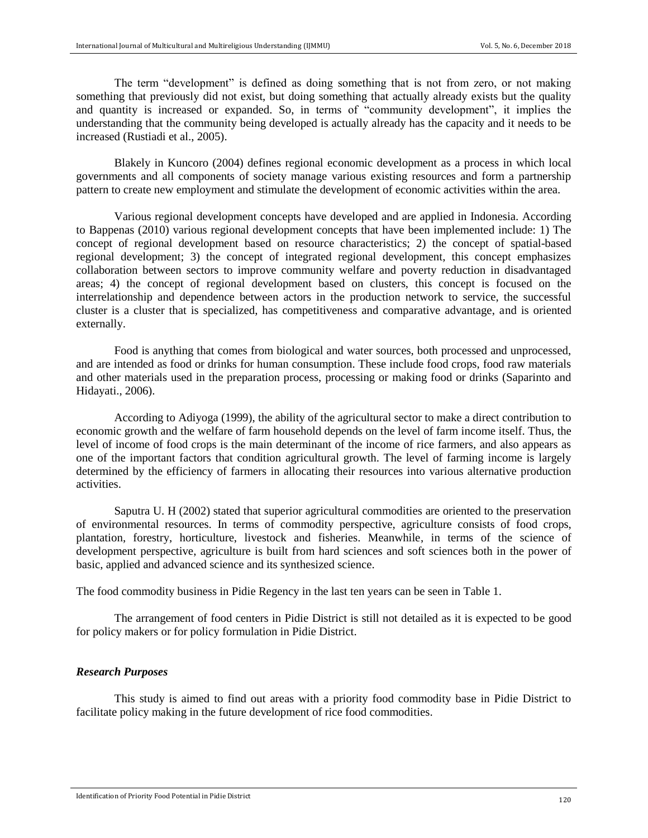The term "development" is defined as doing something that is not from zero, or not making something that previously did not exist, but doing something that actually already exists but the quality and quantity is increased or expanded. So, in terms of "community development", it implies the understanding that the community being developed is actually already has the capacity and it needs to be increased (Rustiadi et al., 2005).

Blakely in Kuncoro (2004) defines regional economic development as a process in which local governments and all components of society manage various existing resources and form a partnership pattern to create new employment and stimulate the development of economic activities within the area.

Various regional development concepts have developed and are applied in Indonesia. According to Bappenas (2010) various regional development concepts that have been implemented include: 1) The concept of regional development based on resource characteristics; 2) the concept of spatial-based regional development; 3) the concept of integrated regional development, this concept emphasizes collaboration between sectors to improve community welfare and poverty reduction in disadvantaged areas; 4) the concept of regional development based on clusters, this concept is focused on the interrelationship and dependence between actors in the production network to service, the successful cluster is a cluster that is specialized, has competitiveness and comparative advantage, and is oriented externally.

Food is anything that comes from biological and water sources, both processed and unprocessed, and are intended as food or drinks for human consumption. These include food crops, food raw materials and other materials used in the preparation process, processing or making food or drinks (Saparinto and Hidayati., 2006).

According to Adiyoga (1999), the ability of the agricultural sector to make a direct contribution to economic growth and the welfare of farm household depends on the level of farm income itself. Thus, the level of income of food crops is the main determinant of the income of rice farmers, and also appears as one of the important factors that condition agricultural growth. The level of farming income is largely determined by the efficiency of farmers in allocating their resources into various alternative production activities.

Saputra U. H (2002) stated that superior agricultural commodities are oriented to the preservation of environmental resources. In terms of commodity perspective, agriculture consists of food crops, plantation, forestry, horticulture, livestock and fisheries. Meanwhile, in terms of the science of development perspective, agriculture is built from hard sciences and soft sciences both in the power of basic, applied and advanced science and its synthesized science.

The food commodity business in Pidie Regency in the last ten years can be seen in Table 1.

The arrangement of food centers in Pidie District is still not detailed as it is expected to be good for policy makers or for policy formulation in Pidie District.

#### *Research Purposes*

This study is aimed to find out areas with a priority food commodity base in Pidie District to facilitate policy making in the future development of rice food commodities.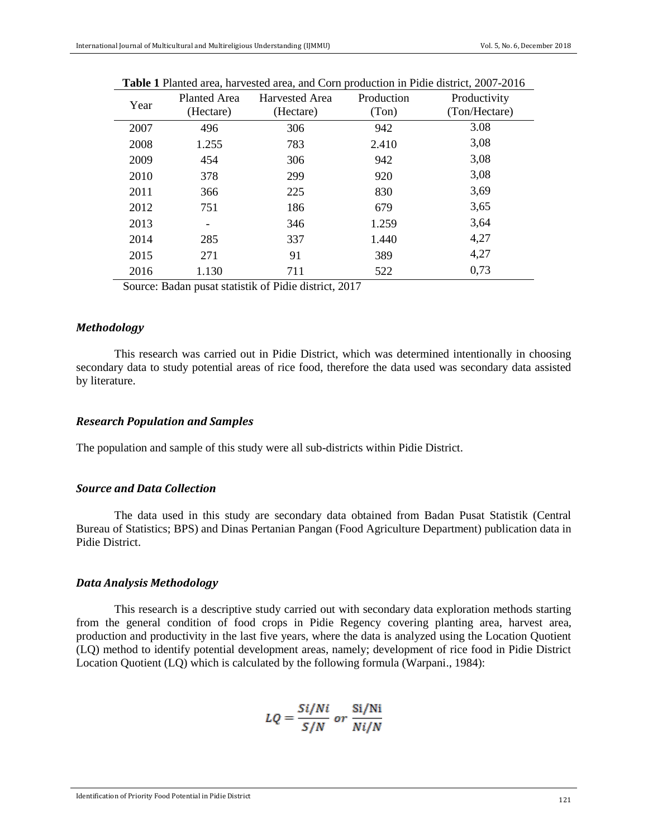| Year | <b>Planted Area</b><br>(Hectare) | <b>Harvested Area</b><br>(Hectare) | Production<br>(Ton) | Productivity<br>(Ton/Hectare) |
|------|----------------------------------|------------------------------------|---------------------|-------------------------------|
| 2007 | 496                              | 306                                | 942                 | 3.08                          |
| 2008 | 1.255                            | 783                                | 2.410               | 3,08                          |
| 2009 | 454                              | 306                                | 942                 | 3,08                          |
| 2010 | 378                              | 299                                | 920                 | 3,08                          |
| 2011 | 366                              | 225                                | 830                 | 3,69                          |
| 2012 | 751                              | 186                                | 679                 | 3,65                          |
| 2013 | -                                | 346                                | 1.259               | 3,64                          |
| 2014 | 285                              | 337                                | 1.440               | 4,27                          |
| 2015 | 271                              | 91                                 | 389                 | 4,27                          |
| 2016 | 1.130                            | 711                                | 522                 | 0,73                          |
|      |                                  |                                    |                     |                               |

|  |  |  |  | <b>Table 1</b> Planted area, harvested area, and Corn production in Pidie district, 2007-2016 |
|--|--|--|--|-----------------------------------------------------------------------------------------------|
|--|--|--|--|-----------------------------------------------------------------------------------------------|

Source: Badan pusat statistik of Pidie district, 2017

## *Methodology*

This research was carried out in Pidie District, which was determined intentionally in choosing secondary data to study potential areas of rice food, therefore the data used was secondary data assisted by literature.

## *Research Population and Samples*

The population and sample of this study were all sub-districts within Pidie District.

## *Source and Data Collection*

The data used in this study are secondary data obtained from Badan Pusat Statistik (Central Bureau of Statistics; BPS) and Dinas Pertanian Pangan (Food Agriculture Department) publication data in Pidie District.

#### *Data Analysis Methodology*

This research is a descriptive study carried out with secondary data exploration methods starting from the general condition of food crops in Pidie Regency covering planting area, harvest area, production and productivity in the last five years, where the data is analyzed using the Location Quotient (LQ) method to identify potential development areas, namely; development of rice food in Pidie District Location Quotient (LQ) which is calculated by the following formula (Warpani., 1984):

$$
LQ = \frac{Si/Ni}{S/N} \text{ or } \frac{Si/Ni}{Ni/N}
$$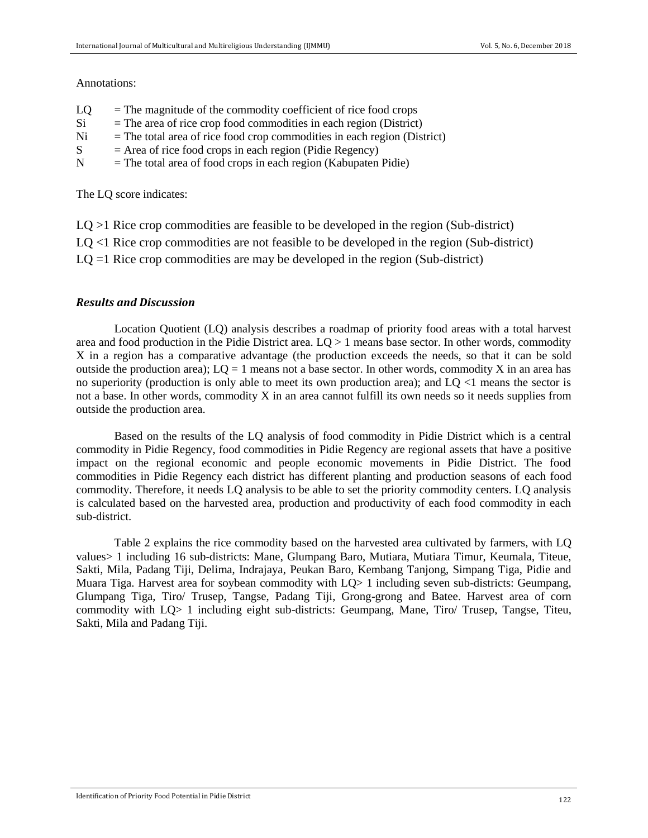#### Annotations:

| $=$ The magnitude of the commodity coefficient of rice food crops |
|-------------------------------------------------------------------|
|                                                                   |

- $Si$  = The area of rice crop food commodities in each region (District)
- $Ni = The total area of rice food crop commodities in each region (District)$
- $S = Area of rice food crops in each region (Pidie Regency)$
- $N =$ The total area of food crops in each region (Kabupaten Pidie)

The LQ score indicates:

- $LQ > 1$  Rice crop commodities are feasible to be developed in the region (Sub-district)
- LQ <1 Rice crop commodities are not feasible to be developed in the region (Sub-district)
- $LQ = 1$  Rice crop commodities are may be developed in the region (Sub-district)

## *Results and Discussion*

Location Quotient (LQ) analysis describes a roadmap of priority food areas with a total harvest area and food production in the Pidie District area. LQ > 1 means base sector. In other words, commodity X in a region has a comparative advantage (the production exceeds the needs, so that it can be sold outside the production area);  $LO = 1$  means not a base sector. In other words, commodity X in an area has no superiority (production is only able to meet its own production area); and LQ <1 means the sector is not a base. In other words, commodity X in an area cannot fulfill its own needs so it needs supplies from outside the production area.

Based on the results of the LQ analysis of food commodity in Pidie District which is a central commodity in Pidie Regency, food commodities in Pidie Regency are regional assets that have a positive impact on the regional economic and people economic movements in Pidie District. The food commodities in Pidie Regency each district has different planting and production seasons of each food commodity. Therefore, it needs LQ analysis to be able to set the priority commodity centers. LQ analysis is calculated based on the harvested area, production and productivity of each food commodity in each sub-district.

Table 2 explains the rice commodity based on the harvested area cultivated by farmers, with LQ values> 1 including 16 sub-districts: Mane, Glumpang Baro, Mutiara, Mutiara Timur, Keumala, Titeue, Sakti, Mila, Padang Tiji, Delima, Indrajaya, Peukan Baro, Kembang Tanjong, Simpang Tiga, Pidie and Muara Tiga. Harvest area for soybean commodity with LQ> 1 including seven sub-districts: Geumpang, Glumpang Tiga, Tiro/ Trusep, Tangse, Padang Tiji, Grong-grong and Batee. Harvest area of corn commodity with LQ> 1 including eight sub-districts: Geumpang, Mane, Tiro/ Trusep, Tangse, Titeu, Sakti, Mila and Padang Tiji.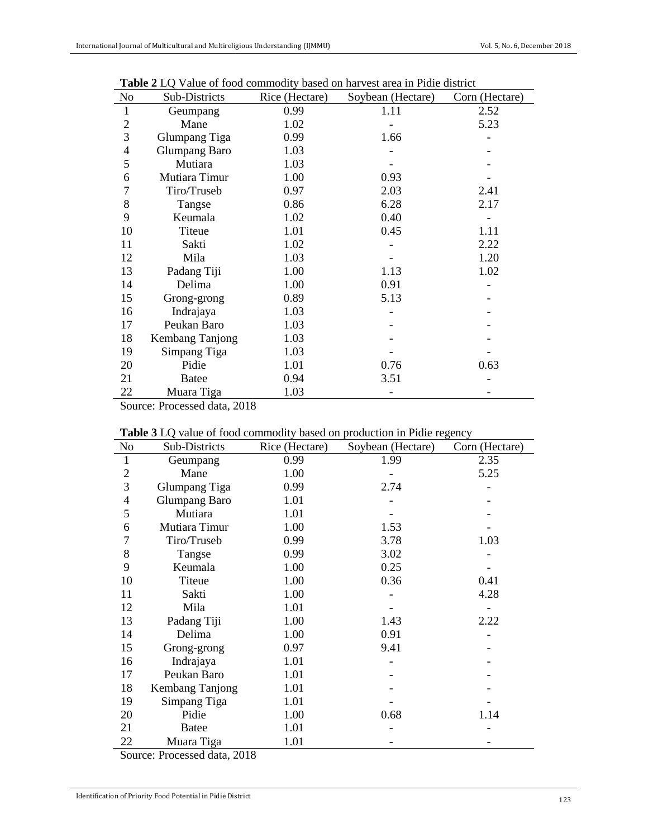| N <sub>o</sub> | Sub-Districts        | Rice (Hectare) | Soybean (Hectare) | Corn (Hectare) |
|----------------|----------------------|----------------|-------------------|----------------|
| 1              | Geumpang             | 0.99           | 1.11              | 2.52           |
| $\overline{2}$ | Mane                 | 1.02           |                   | 5.23           |
| 3              | Glumpang Tiga        | 0.99           | 1.66              |                |
| $\overline{4}$ | <b>Glumpang Baro</b> | 1.03           |                   |                |
| 5              | Mutiara              | 1.03           |                   |                |
| 6              | Mutiara Timur        | 1.00           | 0.93              |                |
| 7              | Tiro/Truseb          | 0.97           | 2.03              | 2.41           |
| 8              | Tangse               | 0.86           | 6.28              | 2.17           |
| 9              | Keumala              | 1.02           | 0.40              |                |
| 10             | <b>Titeue</b>        | 1.01           | 0.45              | 1.11           |
| 11             | Sakti                | 1.02           |                   | 2.22           |
| 12             | Mila                 | 1.03           |                   | 1.20           |
| 13             | Padang Tiji          | 1.00           | 1.13              | 1.02           |
| 14             | Delima               | 1.00           | 0.91              |                |
| 15             | Grong-grong          | 0.89           | 5.13              |                |
| 16             | Indrajaya            | 1.03           |                   |                |
| 17             | Peukan Baro          | 1.03           |                   |                |
| 18             | Kembang Tanjong      | 1.03           |                   |                |
| 19             | Simpang Tiga         | 1.03           |                   |                |
| 20             | Pidie                | 1.01           | 0.76              | 0.63           |
| 21             | <b>Batee</b>         | 0.94           | 3.51              |                |
| 22             | Muara Tiga           | 1.03           |                   |                |

 **Table 2** LQ Value of food commodity based on harvest area in Pidie district

Source: Processed data, 2018

|  | Table 3 LQ value of food commodity based on production in Pidie regency |
|--|-------------------------------------------------------------------------|
|  |                                                                         |

| No             | <b>THOICE</b> $\omega$ and $\omega$ from commodity based on production in Franch $\omega$<br>Sub-Districts | Rice (Hectare) | Soybean (Hectare) | Corn (Hectare) |
|----------------|------------------------------------------------------------------------------------------------------------|----------------|-------------------|----------------|
| $\mathbf{1}$   | Geumpang                                                                                                   | 0.99           | 1.99              | 2.35           |
| $\mathfrak{2}$ | Mane                                                                                                       | 1.00           |                   | 5.25           |
| 3              | <b>Glumpang Tiga</b>                                                                                       | 0.99           | 2.74              |                |
| $\overline{4}$ | <b>Glumpang Baro</b>                                                                                       | 1.01           |                   |                |
| 5              | Mutiara                                                                                                    | 1.01           |                   |                |
| 6              | Mutiara Timur                                                                                              | 1.00           | 1.53              |                |
| 7              | Tiro/Truseb                                                                                                | 0.99           | 3.78              | 1.03           |
| 8              | Tangse                                                                                                     | 0.99           | 3.02              |                |
| 9              | Keumala                                                                                                    | 1.00           | 0.25              |                |
| 10             | Titeue                                                                                                     | 1.00           | 0.36              | 0.41           |
| 11             | Sakti                                                                                                      | 1.00           |                   | 4.28           |
| 12             | Mila                                                                                                       | 1.01           |                   |                |
| 13             | Padang Tiji                                                                                                | 1.00           | 1.43              | 2.22           |
| 14             | Delima                                                                                                     | 1.00           | 0.91              |                |
| 15             | Grong-grong                                                                                                | 0.97           | 9.41              |                |
| 16             | Indrajaya                                                                                                  | 1.01           |                   |                |
| 17             | Peukan Baro                                                                                                | 1.01           |                   |                |
| 18             | Kembang Tanjong                                                                                            | 1.01           |                   |                |
| 19             | Simpang Tiga                                                                                               | 1.01           |                   |                |
| 20             | Pidie                                                                                                      | 1.00           | 0.68              | 1.14           |
| 21             | <b>Batee</b>                                                                                               | 1.01           |                   |                |
| 22             | Muara Tiga                                                                                                 | 1.01           |                   |                |

Source: Processed data, 2018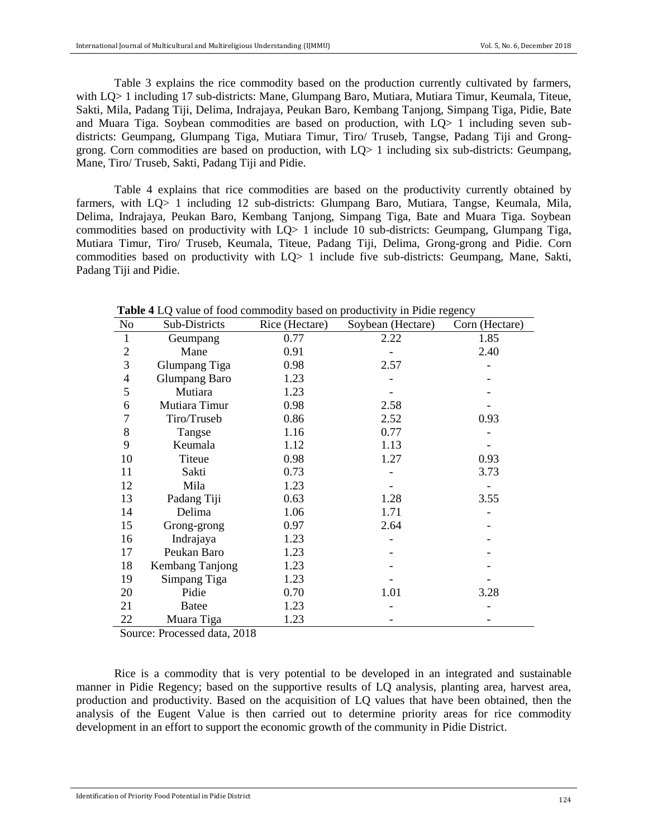Table 3 explains the rice commodity based on the production currently cultivated by farmers, with LQ> 1 including 17 sub-districts: Mane, Glumpang Baro, Mutiara, Mutiara Timur, Keumala, Titeue, Sakti, Mila, Padang Tiji, Delima, Indrajaya, Peukan Baro, Kembang Tanjong, Simpang Tiga, Pidie, Bate and Muara Tiga. Soybean commodities are based on production, with LQ> 1 including seven subdistricts: Geumpang, Glumpang Tiga, Mutiara Timur, Tiro/ Truseb, Tangse, Padang Tiji and Gronggrong. Corn commodities are based on production, with LQ> 1 including six sub-districts: Geumpang, Mane, Tiro/ Truseb, Sakti, Padang Tiji and Pidie.

Table 4 explains that rice commodities are based on the productivity currently obtained by farmers, with LQ> 1 including 12 sub-districts: Glumpang Baro, Mutiara, Tangse, Keumala, Mila, Delima, Indrajaya, Peukan Baro, Kembang Tanjong, Simpang Tiga, Bate and Muara Tiga. Soybean commodities based on productivity with LQ> 1 include 10 sub-districts: Geumpang, Glumpang Tiga, Mutiara Timur, Tiro/ Truseb, Keumala, Titeue, Padang Tiji, Delima, Grong-grong and Pidie. Corn commodities based on productivity with LQ> 1 include five sub-districts: Geumpang, Mane, Sakti, Padang Tiji and Pidie.

| N <sub>o</sub> | Sub-Districts        | Rice (Hectare) | Soybean (Hectare) | Corn (Hectare) |
|----------------|----------------------|----------------|-------------------|----------------|
| 1              | Geumpang             | 0.77           | 2.22              | 1.85           |
| $\overline{2}$ | Mane                 | 0.91           |                   | 2.40           |
| 3              | <b>Glumpang Tiga</b> | 0.98           | 2.57              |                |
| $\overline{4}$ | <b>Glumpang Baro</b> | 1.23           |                   |                |
| 5              | Mutiara              | 1.23           |                   |                |
| 6              | Mutiara Timur        | 0.98           | 2.58              |                |
| $\overline{7}$ | Tiro/Truseb          | 0.86           | 2.52              | 0.93           |
| 8              | Tangse               | 1.16           | 0.77              |                |
| 9              | Keumala              | 1.12           | 1.13              |                |
| 10             | Titeue               | 0.98           | 1.27              | 0.93           |
| 11             | Sakti                | 0.73           |                   | 3.73           |
| 12             | Mila                 | 1.23           |                   |                |
| 13             | Padang Tiji          | 0.63           | 1.28              | 3.55           |
| 14             | Delima               | 1.06           | 1.71              |                |
| 15             | Grong-grong          | 0.97           | 2.64              |                |
| 16             | Indrajaya            | 1.23           |                   |                |
| 17             | Peukan Baro          | 1.23           |                   |                |
| 18             | Kembang Tanjong      | 1.23           |                   |                |
| 19             | Simpang Tiga         | 1.23           |                   |                |
| 20             | Pidie                | 0.70           | 1.01              | 3.28           |
| 21             | <b>Batee</b>         | 1.23           |                   |                |
| 22             | Muara Tiga           | 1.23           |                   |                |

**Table 4** LO value of food commodity based on productivity in Pidie regency

Source: Processed data, 2018

Rice is a commodity that is very potential to be developed in an integrated and sustainable manner in Pidie Regency; based on the supportive results of LQ analysis, planting area, harvest area, production and productivity. Based on the acquisition of LQ values that have been obtained, then the analysis of the Eugent Value is then carried out to determine priority areas for rice commodity development in an effort to support the economic growth of the community in Pidie District.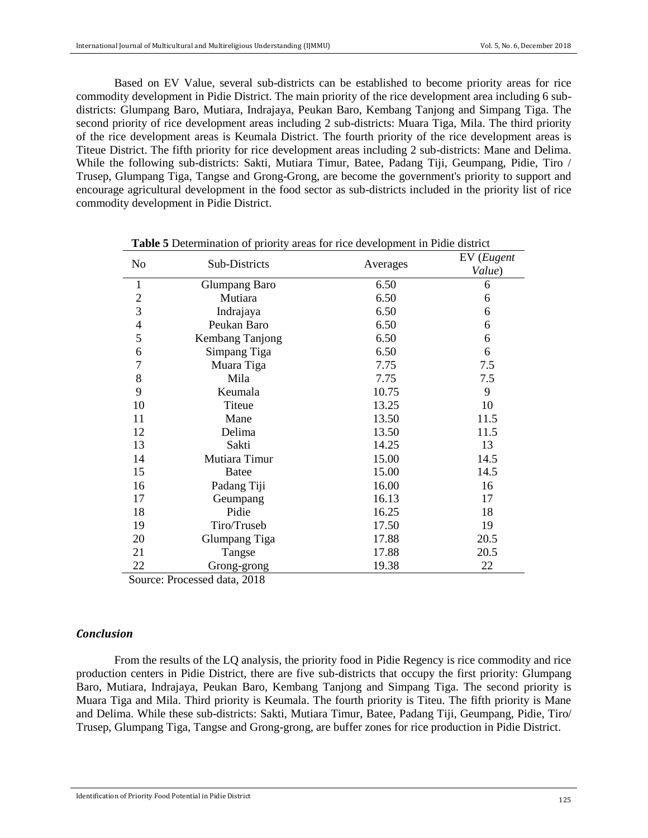Based on EV Value, several sub-districts can be established to become priority areas for rice commodity development in Pidie District. The main priority of the rice development area including 6 subdistricts: Glumpang Baro, Mutiara, Indrajaya, Peukan Baro, Kembang Tanjong and Simpang Tiga. The second priority of rice development areas including 2 sub-districts: Muara Tiga, Mila. The third priority of the rice development areas is Keumala District. The fourth priority of the rice development areas is Titeue District. The fifth priority for rice development areas including 2 sub-districts: Mane and Delima. While the following sub-districts: Sakti, Mutiara Timur, Batee, Padang Tiji, Geumpang, Pidie, Tiro / Trusep, Glumpang Tiga, Tangse and Grong-Grong, are become the government's priority to support and encourage agricultural development in the food sector as sub-districts included in the priority list of rice commodity development in Pidie District.

| N <sub>0</sub>   | Sub-Districts                          | Averages | EV (Eugent |
|------------------|----------------------------------------|----------|------------|
|                  |                                        |          | Value)     |
| 1                | Glumpang Baro                          | 6.50     | 6          |
| $\boldsymbol{2}$ | Mutiara                                | 6.50     | 6          |
| 3                | Indrajaya                              | 6.50     | 6          |
| $\overline{4}$   | Peukan Baro                            | 6.50     | 6          |
| 5                | Kembang Tanjong                        | 6.50     | 6          |
| 6                | Simpang Tiga                           | 6.50     | 6          |
| $\overline{7}$   | Muara Tiga                             | 7.75     | 7.5        |
| 8                | Mila                                   | 7.75     | 7.5        |
| 9                | Keumala                                | 10.75    | 9          |
| 10               | Titeue                                 | 13.25    | 10         |
| 11               | Mane                                   | 13.50    | 11.5       |
| 12               | Delima                                 | 13.50    | 11.5       |
| 13               | Sakti                                  | 14.25    | 13         |
| 14               | Mutiara Timur                          | 15.00    | 14.5       |
| 15               | <b>Batee</b>                           | 15.00    | 14.5       |
| 16               | Padang Tiji                            | 16.00    | 16         |
| 17               | Geumpang                               | 16.13    | 17         |
| 18               | Pidie                                  | 16.25    | 18         |
| 19               | Tiro/Truseb                            | 17.50    | 19         |
| 20               | Glumpang Tiga                          | 17.88    | 20.5       |
| 21               | Tangse                                 | 17.88    | 20.5       |
| 22               | Grong-grong                            | 19.38    | 22         |
|                  | $\blacksquare$<br>$\sim$ $\sim$ $\sim$ |          |            |

 **Table 5** Determination of priority areas for rice development in Pidie district

Source: Processed data, 2018

#### *Conclusion*

From the results of the LQ analysis, the priority food in Pidie Regency is rice commodity and rice production centers in Pidie District, there are five sub-districts that occupy the first priority: Glumpang Baro, Mutiara, Indrajaya, Peukan Baro, Kembang Tanjong and Simpang Tiga. The second priority is Muara Tiga and Mila. Third priority is Keumala. The fourth priority is Titeu. The fifth priority is Mane and Delima. While these sub-districts: Sakti, Mutiara Timur, Batee, Padang Tiji, Geumpang, Pidie, Tiro/ Trusep, Glumpang Tiga, Tangse and Grong-grong, are buffer zones for rice production in Pidie District.